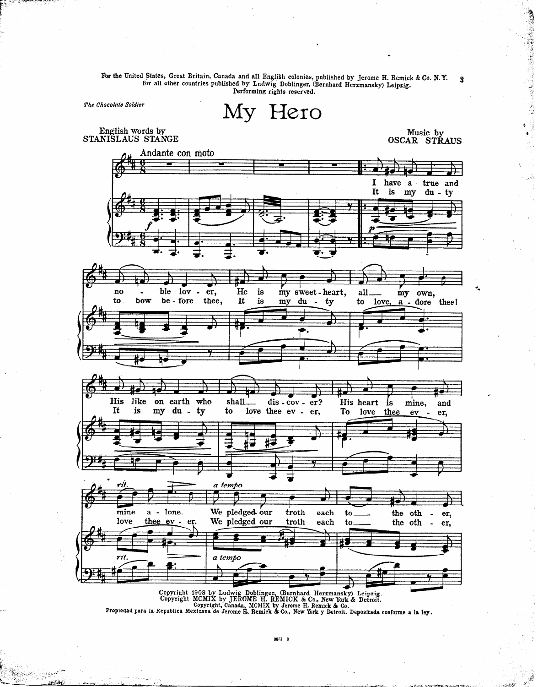For the United States, Great Britain, Canada and all English colonies, published by Jerome H. Remick & Co. N.Y.<br>for all other countries published by Ludwig Doblinger, (Bernhard Herzmansky) Leipzig. 3 Performing rights reserved.

The Chocolate Soldier

My Hero

English words by STANISLAUS STANGE Music by<br>OSCAR STRAUS

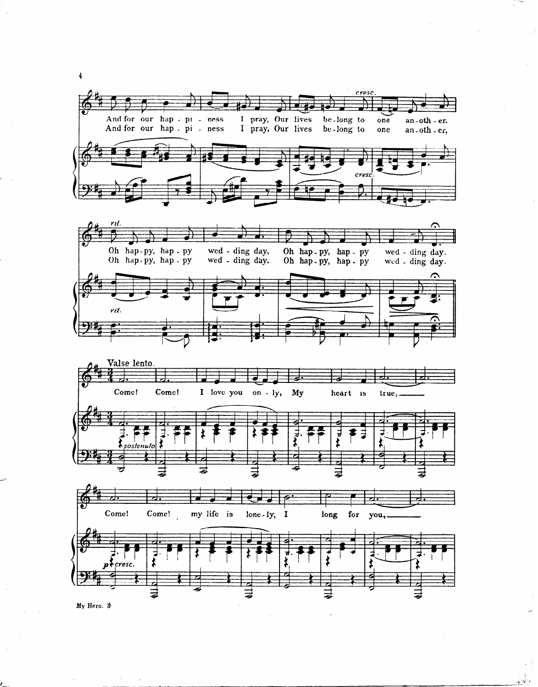







My Hero.  $$$ 

 $\frac{4}{3}$